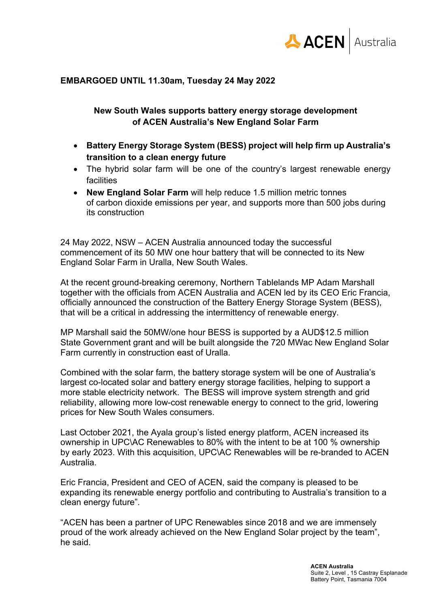

## **EMBARGOED UNTIL 11.30am, Tuesday 24 May 2022**

## **New South Wales supports battery energy storage development of ACEN Australia's New England Solar Farm**

- **Battery Energy Storage System (BESS) project will help firm up Australia's transition to a clean energy future**
- The hybrid solar farm will be one of the country's largest renewable energy facilities
- **New England Solar Farm** will help reduce 1.5 million metric tonnes of carbon dioxide emissions per year, and supports more than 500 jobs during its construction

24 May 2022, NSW – ACEN Australia announced today the successful commencement of its 50 MW one hour battery that will be connected to its New England Solar Farm in Uralla, New South Wales.

At the recent ground-breaking ceremony, Northern Tablelands MP Adam Marshall together with the officials from ACEN Australia and ACEN led by its CEO Eric Francia, officially announced the construction of the Battery Energy Storage System (BESS), that will be a critical in addressing the intermittency of renewable energy.

MP Marshall said the 50MW/one hour BESS is supported by a AUD\$12.5 million State Government grant and will be built alongside the 720 MWac New England Solar Farm currently in construction east of Uralla.

Combined with the solar farm, the battery storage system will be one of Australia's largest co-located solar and battery energy storage facilities, helping to support a more stable electricity network. The BESS will improve system strength and grid reliability, allowing more low-cost renewable energy to connect to the grid, lowering prices for New South Wales consumers.

Last October 2021, the Ayala group's listed energy platform, ACEN increased its ownership in UPC\AC Renewables to 80% with the intent to be at 100 % ownership by early 2023. With this acquisition, UPC\AC Renewables will be re-branded to ACEN Australia.

Eric Francia, President and CEO of ACEN, said the company is pleased to be expanding its renewable energy portfolio and contributing to Australia's transition to a clean energy future".

"ACEN has been a partner of UPC Renewables since 2018 and we are immensely proud of the work already achieved on the New England Solar project by the team", he said.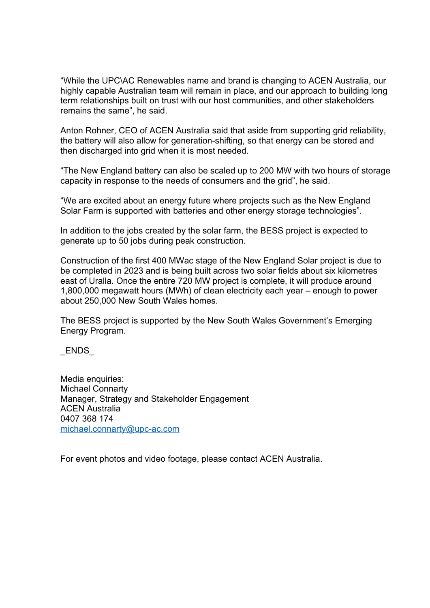"While the UPC\AC Renewables name and brand is changing to ACEN Australia, our highly capable Australian team will remain in place, and our approach to building long term relationships built on trust with our host communities, and other stakeholders remains the same", he said.

Anton Rohner, CEO of ACEN Australia said that aside from supporting grid reliability, the battery will also allow for generation-shifting, so that energy can be stored and then discharged into grid when it is most needed.

"The New England battery can also be scaled up to 200 MW with two hours of storage capacity in response to the needs of consumers and the grid", he said.

"We are excited about an energy future where projects such as the New England Solar Farm is supported with batteries and other energy storage technologies".

In addition to the jobs created by the solar farm, the BESS project is expected to generate up to 50 jobs during peak construction.

Construction of the first 400 MWac stage of the New England Solar project is due to be completed in 2023 and is being built across two solar fields about six kilometres east of Uralla. Once the entire 720 MW project is complete, it will produce around 1,800,000 megawatt hours (MWh) of clean electricity each year – enough to power about 250,000 New South Wales homes.

The BESS project is supported by the New South Wales Government's Emerging Energy Program.

\_ENDS\_

Media enquiries: Michael Connarty Manager, Strategy and Stakeholder Engagement ACEN Australia 0407 368 174 michael.connarty@upc-ac.com

For event photos and video footage, please contact ACEN Australia.